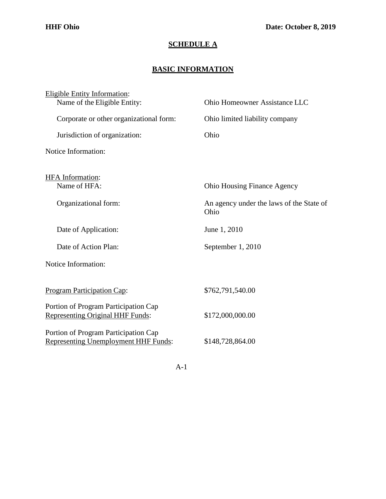## **SCHEDULE A**

## **BASIC INFORMATION**

| <b>Eligible Entity Information:</b>                                             |                                                  |
|---------------------------------------------------------------------------------|--------------------------------------------------|
| Name of the Eligible Entity:                                                    | Ohio Homeowner Assistance LLC                    |
| Corporate or other organizational form:                                         | Ohio limited liability company                   |
| Jurisdiction of organization:                                                   | Ohio                                             |
| Notice Information:                                                             |                                                  |
| <b>HFA</b> Information:                                                         |                                                  |
| Name of HFA:                                                                    | <b>Ohio Housing Finance Agency</b>               |
| Organizational form:                                                            | An agency under the laws of the State of<br>Ohio |
| Date of Application:                                                            | June 1, 2010                                     |
| Date of Action Plan:                                                            | September 1, 2010                                |
| Notice Information:                                                             |                                                  |
|                                                                                 | \$762,791,540.00                                 |
| <b>Program Participation Cap:</b>                                               |                                                  |
| Portion of Program Participation Cap<br><b>Representing Original HHF Funds:</b> | \$172,000,000.00                                 |
| Portion of Program Participation Cap<br>Representing Unemployment HHF Funds:    | \$148,728,864.00                                 |

A-1